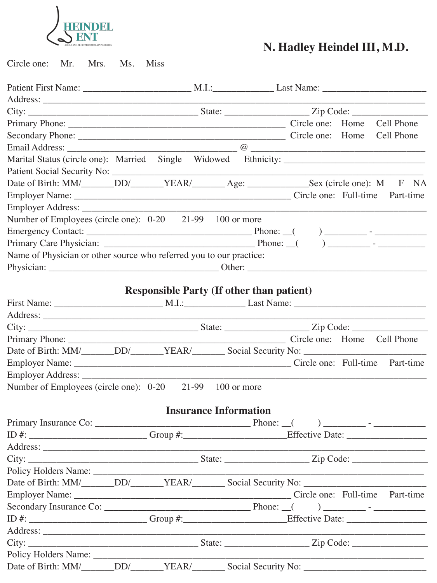

Circle one: Mr. Mrs. Ms. Miss

| Date of Birth: MM/______DD/_____YEAR/_______Age: ____________Sex (circle one): M F NA |  |                                                  |  |  |
|---------------------------------------------------------------------------------------|--|--------------------------------------------------|--|--|
|                                                                                       |  |                                                  |  |  |
|                                                                                       |  |                                                  |  |  |
| Number of Employees (circle one): 0-20 21-99 100 or more                              |  |                                                  |  |  |
|                                                                                       |  |                                                  |  |  |
|                                                                                       |  |                                                  |  |  |
| Name of Physician or other source who referred you to our practice:                   |  |                                                  |  |  |
|                                                                                       |  |                                                  |  |  |
|                                                                                       |  |                                                  |  |  |
|                                                                                       |  | <b>Responsible Party (If other than patient)</b> |  |  |
|                                                                                       |  |                                                  |  |  |
|                                                                                       |  |                                                  |  |  |
|                                                                                       |  |                                                  |  |  |
|                                                                                       |  |                                                  |  |  |
|                                                                                       |  |                                                  |  |  |
|                                                                                       |  |                                                  |  |  |
|                                                                                       |  |                                                  |  |  |
| Number of Employees (circle one): 0-20 21-99 100 or more                              |  |                                                  |  |  |
|                                                                                       |  |                                                  |  |  |
|                                                                                       |  | <b>Insurance Information</b>                     |  |  |
|                                                                                       |  |                                                  |  |  |
|                                                                                       |  |                                                  |  |  |
|                                                                                       |  |                                                  |  |  |
|                                                                                       |  |                                                  |  |  |
|                                                                                       |  |                                                  |  |  |
|                                                                                       |  |                                                  |  |  |
|                                                                                       |  |                                                  |  |  |
|                                                                                       |  |                                                  |  |  |
| ID #: $\frac{1}{2}$ Group #: $\frac{1}{2}$ Group #: $\frac{1}{2}$ Effective Date:     |  |                                                  |  |  |
|                                                                                       |  |                                                  |  |  |
|                                                                                       |  |                                                  |  |  |
|                                                                                       |  |                                                  |  |  |
|                                                                                       |  |                                                  |  |  |
|                                                                                       |  |                                                  |  |  |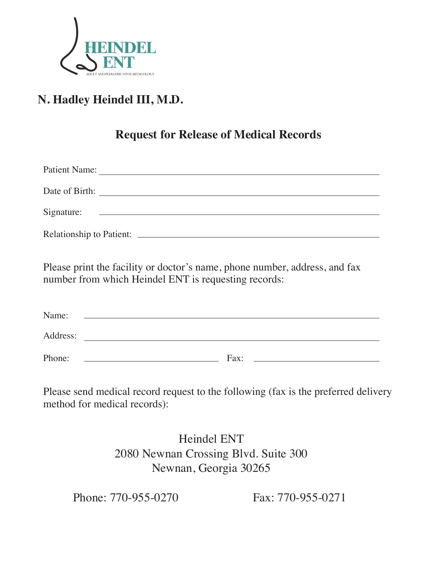

### **Request for Release of Medical Records**

| <b>Patient Name:</b>            |                                                          |  |  |
|---------------------------------|----------------------------------------------------------|--|--|
| Date of Birth:                  |                                                          |  |  |
| Signature:                      | <u> 1980 - Jan Stein, Amerikaansk politiker († 1908)</u> |  |  |
| <b>Relationship to Patient:</b> |                                                          |  |  |

Please print the facility or doctor's name, phone number, address, and fax number from which Heindel ENT is requesting records:

| Name:    |      |
|----------|------|
| Address: |      |
| Phone:   | Fax: |

Please send medical record request to the following (fax is the preferred delivery method for medical records):

> Heindel ENT 2080 Newnan Crossing Blvd. Suite 300 Newnan, Georgia 30265

Phone: 770-955-0270 Fax: 770-955-0271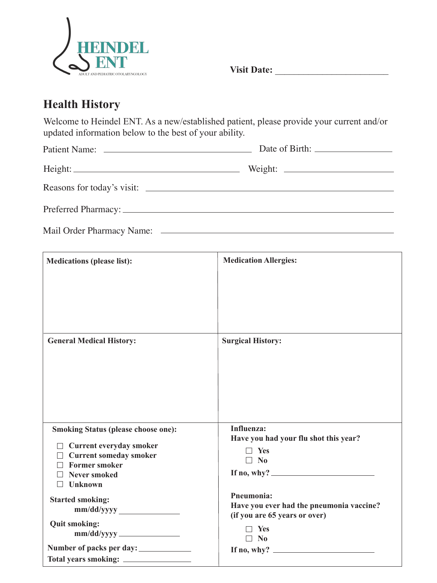

**Visit Date:** \_\_\_\_\_\_\_\_\_\_\_\_\_\_\_\_\_\_\_\_\_\_\_\_

### **Health History**

Welcome to Heindel ENT. As a new/established patient, please provide your current and/or updated information below to the best of your ability.

| Weight: |
|---------|
|         |
|         |

Mail Order Pharmacy Name:

| <b>Medications (please list):</b>          | <b>Medication Allergies:</b>                        |
|--------------------------------------------|-----------------------------------------------------|
|                                            |                                                     |
|                                            |                                                     |
|                                            |                                                     |
|                                            |                                                     |
| <b>General Medical History:</b>            | <b>Surgical History:</b>                            |
|                                            |                                                     |
|                                            |                                                     |
|                                            |                                                     |
|                                            |                                                     |
|                                            |                                                     |
| <b>Smoking Status (please choose one):</b> | Influenza:<br>Have you had your flu shot this year? |
| $\Box$ Current everyday smoker             |                                                     |
| <b>Current someday smoker</b>              | $\Box$ Yes<br>$\Box$ No                             |
| <b>Former smoker</b>                       |                                                     |
| <b>Never smoked</b>                        | If no, why? $\qquad \qquad$                         |
| <b>Unknown</b>                             |                                                     |
| <b>Started smoking:</b>                    | Pneumonia:                                          |
| mm/dd/yyyy                                 | Have you ever had the pneumonia vaccine?            |
|                                            | (if you are 65 years or over)                       |
| <b>Quit smoking:</b>                       | Yes                                                 |
| mm/dd/yyyy                                 | $\Box$ No                                           |
|                                            | If no, why? $\qquad \qquad$                         |
| Total years smoking: ___________           |                                                     |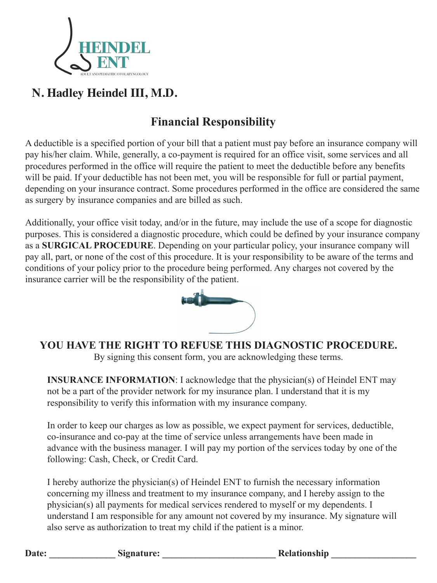

# **Financial Responsibility**

A deductible is a specified portion of your bill that a patient must pay before an insurance company will pay his/her claim. While, generally, a co-payment is required for an office visit, some services and all procedures performed in the office will require the patient to meet the deductible before any benefits will be paid. If your deductible has not been met, you will be responsible for full or partial payment, depending on your insurance contract. Some procedures performed in the office are considered the same as surgery by insurance companies and are billed as such.

Additionally, your office visit today, and/or in the future, may include the use of a scope for diagnostic purposes. This is considered a diagnostic procedure, which could be defined by your insurance company as a **SURGICAL PROCEDURE**. Depending on your particular policy, your insurance company will pay all, part, or none of the cost of this procedure. It is your responsibility to be aware of the terms and conditions of your policy prior to the procedure being performed. Any charges not covered by the insurance carrier will be the responsibility of the patient.



**YOU HAVE THE RIGHT TO REFUSE THIS DIAGNOSTIC PROCEDURE.** By signing this consent form, you are acknowledging these terms.

**INSURANCE INFORMATION:** I acknowledge that the physician(s) of Heindel ENT may not be a part of the provider network for my insurance plan. I understand that it is my responsibility to verify this information with my insurance company.

In order to keep our charges as low as possible, we expect payment for services, deductible, co-insurance and co-pay at the time of service unless arrangements have been made in advance with the business manager. I will pay my portion of the services today by one of the following: Cash, Check, or Credit Card.

I hereby authorize the physician(s) of Heindel ENT to furnish the necessary information concerning my illness and treatment to my insurance company, and I hereby assign to the physician(s) all payments for medical services rendered to myself or my dependents. I understand I am responsible for any amount not covered by my insurance. My signature will also serve as authorization to treat my child if the patient is a minor.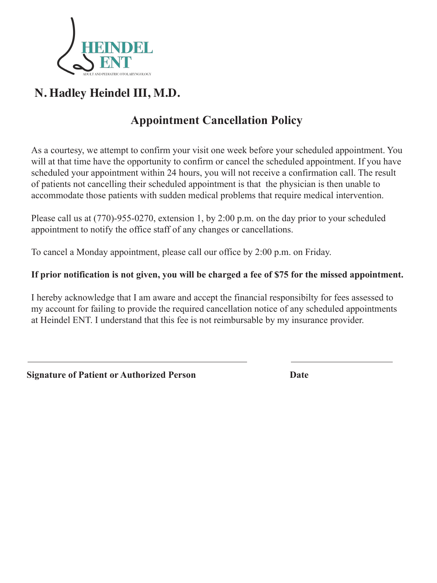

# **Appointment Cancellation Policy**

As a courtesy, we attempt to confirm your visit one week before your scheduled appointment. You will at that time have the opportunity to confirm or cancel the scheduled appointment. If you have scheduled your appointment within 24 hours, you will not receive a confirmation call. The result of patients not cancelling their scheduled appointment is that the physician is then unable to accommodate those patients with sudden medical problems that require medical intervention.

Please call us at (770)-955-0270, extension 1, by 2:00 p.m. on the day prior to your scheduled appointment to notify the office staff of any changes or cancellations.

To cancel a Monday appointment, please call our office by 2:00 p.m. on Friday.

#### **If prior notification is not given, you will be charged a fee of \$75 for the missed appointment.**

I hereby acknowledge that I am aware and accept the financial responsibilty for fees assessed to my account for failing to provide the required cancellation notice of any scheduled appointments at Heindel ENT. I understand that this fee is not reimbursable by my insurance provider.

**Signature of Patient or Authorized Person Date**